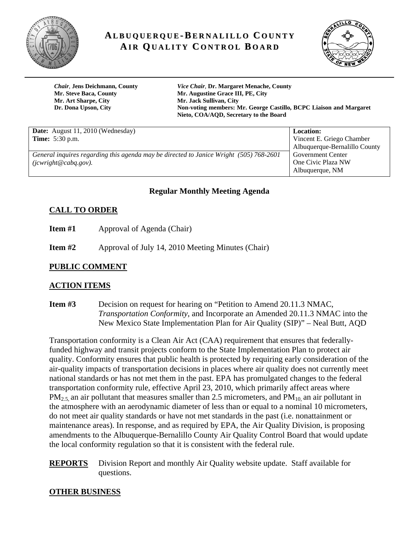

# **AL B U Q U E R Q U E-B E R N A LI L L O C O U N T Y AI R QU A LI T Y C O N T R O L B O A R D**



**Mr. Art Sharpe, City Mr. Jack Sullivan, City** 

*Chair*, **Jens Deichmann, County** *Vice Chair,* **Dr. Margaret Menache, County Mr. Steve Baca, County Mr. Augustine Grace III, PE, City Dr. Dona Upson, City Non-voting members: Mr. George Castillo, BCPC Liaison and Margaret Nieto, COA/AQD, Secretary to the Board**

| <b>Date:</b> August 11, 2010 (Wednesday)                                               | <b>Location:</b>              |
|----------------------------------------------------------------------------------------|-------------------------------|
| <b>Time:</b> 5:30 p.m.                                                                 | Vincent E. Griego Chamber     |
|                                                                                        | Albuquerque-Bernalillo County |
| General inquires regarding this agenda may be directed to Janice Wright (505) 768-2601 | <b>Government Center</b>      |
| $(jcwright@cabq.gov)$ .                                                                | One Civic Plaza NW            |
|                                                                                        | Albuquerque, NM               |

# **Regular Monthly Meeting Agenda**

# **CALL TO ORDER**

**Item #1** • **Approval of Agenda (Chair)** 

**Item #2** Approval of July 14, 2010 Meeting Minutes (Chair)

#### **PUBLIC COMMENT**

# **ACTION ITEMS**

**Item #3** Decision on request for hearing on "Petition to Amend 20.11.3 NMAC, *Transportation Conformity*, and Incorporate an Amended 20.11.3 NMAC into the New Mexico State Implementation Plan for Air Quality (SIP)" – Neal Butt, AQD

Transportation conformity is a Clean Air Act (CAA) requirement that ensures that federallyfunded highway and transit projects conform to the State Implementation Plan to protect air quality. Conformity ensures that public health is protected by requiring early consideration of the air-quality impacts of transportation decisions in places where air quality does not currently meet national standards or has not met them in the past. EPA has promulgated changes to the federal transportation conformity rule, effective April 23, 2010, which primarily affect areas where  $PM_{2.5}$  an air pollutant that measures smaller than 2.5 micrometers, and  $PM_{10}$  an air pollutant in the atmosphere with an aerodynamic diameter of less than or equal to a nominal 10 micrometers, do not meet air quality standards or have not met standards in the past (i.e. nonattainment or maintenance areas). In response, and as required by EPA, the Air Quality Division, is proposing amendments to the Albuquerque-Bernalillo County Air Quality Control Board that would update the local conformity regulation so that it is consistent with the federal rule.

**REPORTS** Division Report and monthly Air Quality website update. Staff available for questions.

#### **OTHER BUSINESS**